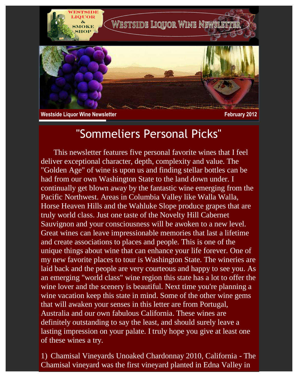

**Westside Liquor Wine Newsletter February 2012** 

## "Sommeliers Personal Picks"

 This newsletter features five personal favorite wines that I feel deliver exceptional character, depth, complexity and value. The "Golden Age" of wine is upon us and finding stellar bottles can be had from our own Washington State to the land down under. I continually get blown away by the fantastic wine emerging from the Pacific Northwest. Areas in Columbia Valley like Walla Walla, Horse Heaven Hills and the Wahluke Slope produce grapes that are truly world class. Just one taste of the Novelty Hill Cabernet Sauvignon and your consciousness will be awoken to a new level. Great wines can leave impressionable memories that last a lifetime and create associations to places and people. This is one of the unique things about wine that can enhance your life forever. One of my new favorite places to tour is Washington State. The wineries are laid back and the people are very courteous and happy to see you. As an emerging "world class" wine region this state has a lot to offer the wine lover and the scenery is beautiful. Next time you're planning a wine vacation keep this state in mind. Some of the other wine gems that will awaken your senses in this letter are from Portugal, Australia and our own fabulous California. These wines are definitely outstanding to say the least, and should surely leave a lasting impression on your palate. I truly hope you give at least one of these wines a try.

1) Chamisal Vineyards Unoaked Chardonnay 2010, California - The Chamisal vineyard was the first vineyard planted in Edna Valley in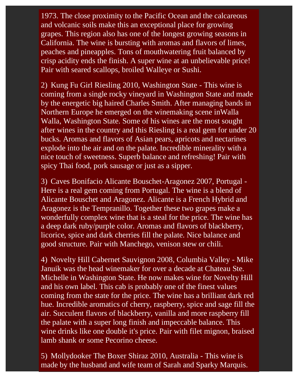1973. The close proximity to the Pacific Ocean and the calcareous and volcanic soils make this an exceptional place for growing grapes. This region also has one of the longest growing seasons in California. The wine is bursting with aromas and flavors of limes, peaches and pineapples. Tons of mouthwatering fruit balanced by crisp acidity ends the finish. A super wine at an unbelievable price! Pair with seared scallops, broiled Walleye or Sushi.

2) Kung Fu Girl Riesling 2010, Washington State - This wine is coming from a single rocky vineyard in Washington State and made by the energetic big haired Charles Smith. After managing bands in Northern Europe he emerged on the winemaking scene inWalla Walla, Washington State. Some of his wines are the most sought after wines in the country and this Riesling is a real gem for under 20 bucks. Aromas and flavors of Asian pears, apricots and nectarines explode into the air and on the palate. Incredible minerality with a nice touch of sweetness. Superb balance and refreshing! Pair with spicy Thai food, pork sausage or just as a sipper.

3) Caves Bonifacio Alicante Bouschet-Aragonez 2007, Portugal - Here is a real gem coming from Portugal. The wine is a blend of Alicante Bouschet and Aragonez. Alicante is a French Hybrid and Aragonez is the Tempranillo. Together these two grapes make a wonderfully complex wine that is a steal for the price. The wine has a deep dark ruby/purple color. Aromas and flavors of blackberry, licorice, spice and dark cherries fill the palate. Nice balance and good structure. Pair with Manchego, venison stew or chili.

4) Novelty Hill Cabernet Sauvignon 2008, Columbia Valley - Mike Januik was the head winemaker for over a decade at Chateau Ste. Michelle in Washington State. He now makes wine for Novelty Hill and his own label. This cab is probably one of the finest values coming from the state for the price. The wine has a brilliant dark red hue. Incredible aromatics of cherry, raspberry, spice and sage fill the air. Succulent flavors of blackberry, vanilla and more raspberry fill the palate with a super long finish and impeccable balance. This wine drinks like one double it's price. Pair with filet mignon, braised lamb shank or some Pecorino cheese.

5) Mollydooker The Boxer Shiraz 2010, Australia - This wine is made by the husband and wife team of Sarah and Sparky Marquis.